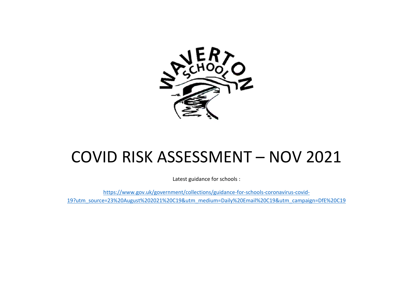

# COVID RISK ASSESSMENT – NOV 2021

Latest guidance for schools :

[https://www.gov.uk/government/collections/guidance-for-schools-coronavirus-covid-](https://www.gov.uk/government/collections/guidance-for-schools-coronavirus-covid-19?utm_source=23%20August%202021%20C19&utm_medium=Daily%20Email%20C19&utm_campaign=DfE%20C19)[19?utm\\_source=23%20August%202021%20C19&utm\\_medium=Daily%20Email%20C19&utm\\_campaign=DfE%20C19](https://www.gov.uk/government/collections/guidance-for-schools-coronavirus-covid-19?utm_source=23%20August%202021%20C19&utm_medium=Daily%20Email%20C19&utm_campaign=DfE%20C19)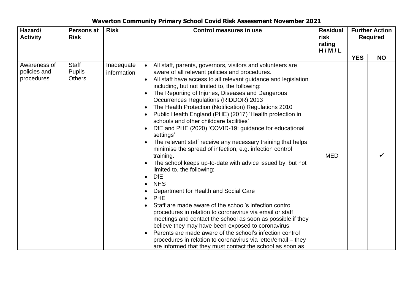| Hazard/<br><b>Activity</b>                 | Persons at<br><b>Risk</b>                      | <b>Risk</b>               | <b>Control measures in use</b>                                                                                                                                                                                                                                                                                                                                                                                                                                                                                                                                                                                                                                                                                                                                                                                                                                                                                                                                                                                                                                                                                                                                                                                                                                                                                                                                                                                                                   | <b>Residual</b><br>risk<br>rating<br>H/M/L | <b>Further Action</b><br><b>Required</b> |           |
|--------------------------------------------|------------------------------------------------|---------------------------|--------------------------------------------------------------------------------------------------------------------------------------------------------------------------------------------------------------------------------------------------------------------------------------------------------------------------------------------------------------------------------------------------------------------------------------------------------------------------------------------------------------------------------------------------------------------------------------------------------------------------------------------------------------------------------------------------------------------------------------------------------------------------------------------------------------------------------------------------------------------------------------------------------------------------------------------------------------------------------------------------------------------------------------------------------------------------------------------------------------------------------------------------------------------------------------------------------------------------------------------------------------------------------------------------------------------------------------------------------------------------------------------------------------------------------------------------|--------------------------------------------|------------------------------------------|-----------|
|                                            |                                                |                           |                                                                                                                                                                                                                                                                                                                                                                                                                                                                                                                                                                                                                                                                                                                                                                                                                                                                                                                                                                                                                                                                                                                                                                                                                                                                                                                                                                                                                                                  |                                            | <b>YES</b>                               | <b>NO</b> |
| Awareness of<br>policies and<br>procedures | <b>Staff</b><br><b>Pupils</b><br><b>Others</b> | Inadequate<br>information | All staff, parents, governors, visitors and volunteers are<br>$\bullet$<br>aware of all relevant policies and procedures.<br>All staff have access to all relevant guidance and legislation<br>including, but not limited to, the following:<br>The Reporting of Injuries, Diseases and Dangerous<br>$\bullet$<br><b>Occurrences Regulations (RIDDOR) 2013</b><br>The Health Protection (Notification) Regulations 2010<br>$\bullet$<br>Public Health England (PHE) (2017) 'Health protection in<br>schools and other childcare facilities'<br>DfE and PHE (2020) 'COVID-19: guidance for educational<br>$\bullet$<br>settings'<br>The relevant staff receive any necessary training that helps<br>$\bullet$<br>minimise the spread of infection, e.g. infection control<br>training.<br>The school keeps up-to-date with advice issued by, but not<br>limited to, the following:<br><b>DfE</b><br>$\bullet$<br><b>NHS</b><br>$\bullet$<br>Department for Health and Social Care<br><b>PHE</b><br>Staff are made aware of the school's infection control<br>$\bullet$<br>procedures in relation to coronavirus via email or staff<br>meetings and contact the school as soon as possible if they<br>believe they may have been exposed to coronavirus.<br>Parents are made aware of the school's infection control<br>procedures in relation to coronavirus via letter/email - they<br>are informed that they must contact the school as soon as | <b>MED</b>                                 |                                          |           |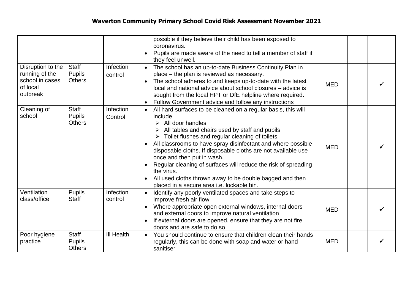|                                                                                |                                                |                      | possible if they believe their child has been exposed to<br>coronavirus.<br>Pupils are made aware of the need to tell a member of staff if<br>$\bullet$<br>they feel unwell.                                                                                                                                                                                                                                                                                                                                                                                                                                               |            |  |
|--------------------------------------------------------------------------------|------------------------------------------------|----------------------|----------------------------------------------------------------------------------------------------------------------------------------------------------------------------------------------------------------------------------------------------------------------------------------------------------------------------------------------------------------------------------------------------------------------------------------------------------------------------------------------------------------------------------------------------------------------------------------------------------------------------|------------|--|
| Disruption to the<br>running of the<br>school in cases<br>of local<br>outbreak | Staff<br><b>Pupils</b><br><b>Others</b>        | Infection<br>control | The school has an up-to-date Business Continuity Plan in<br>place – the plan is reviewed as necessary.<br>The school adheres to and keeps up-to-date with the latest<br>$\bullet$<br>local and national advice about school closures - advice is<br>sought from the local HPT or DfE helpline where required.<br>Follow Government advice and follow any instructions<br>$\bullet$                                                                                                                                                                                                                                         | <b>MED</b> |  |
| Cleaning of<br>school                                                          | Staff<br><b>Pupils</b><br><b>Others</b>        | Infection<br>Control | All hard surfaces to be cleaned on a regular basis, this will<br>$\bullet$<br>include<br>All door handles<br>➤<br>All tables and chairs used by staff and pupils<br>Toilet flushes and regular cleaning of toilets.<br>All classrooms to have spray disinfectant and where possible<br>$\bullet$<br>disposable cloths. If disposable cloths are not available use<br>once and then put in wash.<br>Regular cleaning of surfaces will reduce the risk of spreading<br>$\bullet$<br>the virus.<br>All used cloths thrown away to be double bagged and then<br>$\bullet$<br>placed in a secure area <i>i.e.</i> lockable bin. | <b>MED</b> |  |
| Ventilation<br>class/office                                                    | <b>Pupils</b><br><b>Staff</b>                  | Infection<br>control | Identify any poorly ventilated spaces and take steps to<br>improve fresh air flow<br>Where appropriate open external windows, internal doors<br>$\bullet$<br>and external doors to improve natural ventilation<br>If external doors are opened, ensure that they are not fire<br>$\bullet$<br>doors and are safe to do so                                                                                                                                                                                                                                                                                                  | <b>MED</b> |  |
| Poor hygiene<br>practice                                                       | <b>Staff</b><br><b>Pupils</b><br><b>Others</b> | <b>III Health</b>    | You should continue to ensure that children clean their hands<br>regularly, this can be done with soap and water or hand<br>sanitiser                                                                                                                                                                                                                                                                                                                                                                                                                                                                                      | <b>MED</b> |  |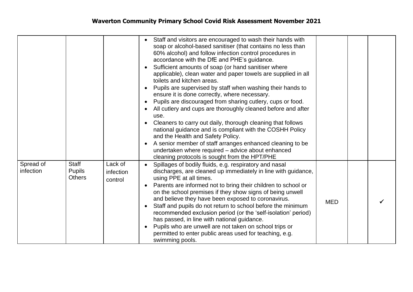|                        |                                         |                                 | Staff and visitors are encouraged to wash their hands with<br>soap or alcohol-based sanitiser (that contains no less than<br>60% alcohol) and follow infection control procedures in<br>accordance with the DfE and PHE's guidance.<br>Sufficient amounts of soap (or hand sanitiser where<br>$\bullet$<br>applicable), clean water and paper towels are supplied in all<br>toilets and kitchen areas.<br>Pupils are supervised by staff when washing their hands to<br>ensure it is done correctly, where necessary.<br>Pupils are discouraged from sharing cutlery, cups or food.<br>$\bullet$<br>All cutlery and cups are thoroughly cleaned before and after<br>$\bullet$<br>use.<br>Cleaners to carry out daily, thorough cleaning that follows<br>$\bullet$<br>national guidance and is compliant with the COSHH Policy<br>and the Health and Safety Policy.<br>A senior member of staff arranges enhanced cleaning to be<br>$\bullet$<br>undertaken where required - advice about enhanced<br>cleaning protocols is sought from the HPT/PHE |            |  |
|------------------------|-----------------------------------------|---------------------------------|----------------------------------------------------------------------------------------------------------------------------------------------------------------------------------------------------------------------------------------------------------------------------------------------------------------------------------------------------------------------------------------------------------------------------------------------------------------------------------------------------------------------------------------------------------------------------------------------------------------------------------------------------------------------------------------------------------------------------------------------------------------------------------------------------------------------------------------------------------------------------------------------------------------------------------------------------------------------------------------------------------------------------------------------------|------------|--|
| Spread of<br>infection | Staff<br><b>Pupils</b><br><b>Others</b> | Lack of<br>infection<br>control | Spillages of bodily fluids, e.g. respiratory and nasal<br>$\bullet$<br>discharges, are cleaned up immediately in line with guidance,<br>using PPE at all times.<br>Parents are informed not to bring their children to school or<br>on the school premises if they show signs of being unwell<br>and believe they have been exposed to coronavirus.<br>Staff and pupils do not return to school before the minimum<br>$\bullet$<br>recommended exclusion period (or the 'self-isolation' period)<br>has passed, in line with national guidance.<br>Pupils who are unwell are not taken on school trips or<br>permitted to enter public areas used for teaching, e.g.<br>swimming pools.                                                                                                                                                                                                                                                                                                                                                            | <b>MED</b> |  |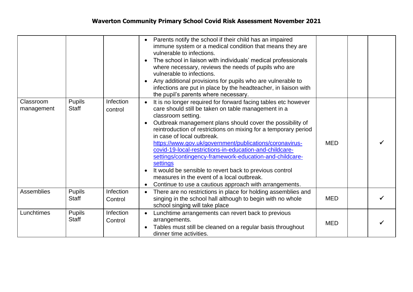|                         |                               |                      | Parents notify the school if their child has an impaired<br>immune system or a medical condition that means they are<br>vulnerable to infections.<br>The school in liaison with individuals' medical professionals<br>$\bullet$<br>where necessary, reviews the needs of pupils who are<br>vulnerable to infections.<br>Any additional provisions for pupils who are vulnerable to<br>infections are put in place by the headteacher, in liaison with<br>the pupil's parents where necessary.                                                                                                                                                                                          |            |  |
|-------------------------|-------------------------------|----------------------|----------------------------------------------------------------------------------------------------------------------------------------------------------------------------------------------------------------------------------------------------------------------------------------------------------------------------------------------------------------------------------------------------------------------------------------------------------------------------------------------------------------------------------------------------------------------------------------------------------------------------------------------------------------------------------------|------------|--|
| Classroom<br>management | <b>Pupils</b><br><b>Staff</b> | Infection<br>control | It is no longer required for forward facing tables etc however<br>$\bullet$<br>care should still be taken on table management in a<br>classroom setting.<br>Outbreak management plans should cover the possibility of<br>reintroduction of restrictions on mixing for a temporary period<br>in case of local outbreak.<br>https://www.gov.uk/government/publications/coronavirus-<br>covid-19-local-restrictions-in-education-and-childcare-<br>settings/contingency-framework-education-and-childcare-<br>settings<br>It would be sensible to revert back to previous control<br>measures in the event of a local outbreak.<br>Continue to use a cautious approach with arrangements. | <b>MED</b> |  |
| Assemblies              | <b>Pupils</b><br>Staff        | Infection<br>Control | There are no restrictions in place for holding assemblies and<br>$\bullet$<br>singing in the school hall although to begin with no whole<br>school singing will take place                                                                                                                                                                                                                                                                                                                                                                                                                                                                                                             | <b>MED</b> |  |
| Lunchtimes              | <b>Pupils</b><br><b>Staff</b> | Infection<br>Control | Lunchtime arrangements can revert back to previous<br>$\bullet$<br>arrangements.<br>Tables must still be cleaned on a regular basis throughout<br>dinner time activities.                                                                                                                                                                                                                                                                                                                                                                                                                                                                                                              | <b>MED</b> |  |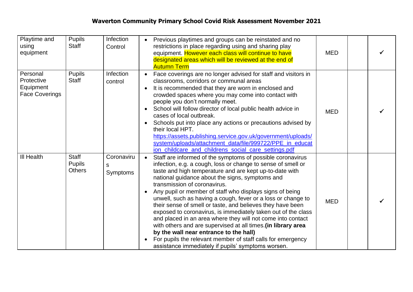| Playtime and<br>using<br>equipment                           | <b>Pupils</b><br><b>Staff</b>           | Infection<br>Control        | Previous playtimes and groups can be reinstated and no<br>$\bullet$<br>restrictions in place regarding using and sharing play<br>equipment. However each class will continue to have<br>designated areas which will be reviewed at the end of<br><b>Autumn Term</b>                                                                                                                                                                                                                                                                                                                                                                                                                                                                                                                                                                             | <b>MED</b> |  |
|--------------------------------------------------------------|-----------------------------------------|-----------------------------|-------------------------------------------------------------------------------------------------------------------------------------------------------------------------------------------------------------------------------------------------------------------------------------------------------------------------------------------------------------------------------------------------------------------------------------------------------------------------------------------------------------------------------------------------------------------------------------------------------------------------------------------------------------------------------------------------------------------------------------------------------------------------------------------------------------------------------------------------|------------|--|
| Personal<br>Protective<br>Equipment<br><b>Face Coverings</b> | <b>Pupils</b><br>Staff                  | Infection<br>control        | Face coverings are no longer advised for staff and visitors in<br>classrooms, corridors or communal areas<br>It is recommended that they are worn in enclosed and<br>crowded spaces where you may come into contact with<br>people you don't normally meet.<br>School will follow director of local public health advice in<br>cases of local outbreak.<br>Schools put into place any actions or precautions advised by<br>$\bullet$<br>their local HPT.<br>https://assets.publishing.service.gov.uk/government/uploads/<br>system/uploads/attachment_data/file/999722/PPE_in_educat<br>ion_childcare_and_childrens_social_care_settings.pdf                                                                                                                                                                                                    | <b>MED</b> |  |
| <b>III Health</b>                                            | Staff<br><b>Pupils</b><br><b>Others</b> | Coronaviru<br>S<br>Symptoms | Staff are informed of the symptoms of possible coronavirus<br>$\bullet$<br>infection, e.g. a cough, loss or change to sense of smell or<br>taste and high temperature and are kept up-to-date with<br>national guidance about the signs, symptoms and<br>transmission of coronavirus.<br>Any pupil or member of staff who displays signs of being<br>unwell, such as having a cough, fever or a loss or change to<br>their sense of smell or taste, and believes they have been<br>exposed to coronavirus, is immediately taken out of the class<br>and placed in an area where they will not come into contact<br>with others and are supervised at all times. (in library area<br>by the wall near entrance to the hall)<br>For pupils the relevant member of staff calls for emergency<br>assistance immediately if pupils' symptoms worsen. | <b>MED</b> |  |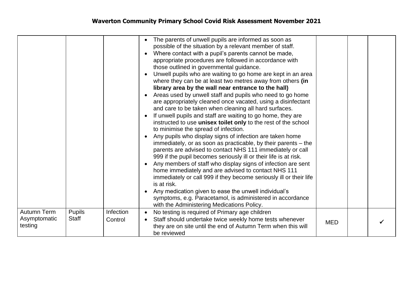|                                        |                        |                      | The parents of unwell pupils are informed as soon as<br>possible of the situation by a relevant member of staff.<br>Where contact with a pupil's parents cannot be made,<br>appropriate procedures are followed in accordance with<br>those outlined in governmental guidance.<br>Unwell pupils who are waiting to go home are kept in an area<br>where they can be at least two metres away from others (in<br>library area by the wall near entrance to the hall)<br>Areas used by unwell staff and pupils who need to go home<br>are appropriately cleaned once vacated, using a disinfectant<br>and care to be taken when cleaning all hard surfaces.<br>If unwell pupils and staff are waiting to go home, they are<br>instructed to use unisex toilet only to the rest of the school<br>to minimise the spread of infection.<br>Any pupils who display signs of infection are taken home<br>immediately, or as soon as practicable, by their parents – the<br>parents are advised to contact NHS 111 immediately or call<br>999 if the pupil becomes seriously ill or their life is at risk.<br>Any members of staff who display signs of infection are sent<br>home immediately and are advised to contact NHS 111<br>immediately or call 999 if they become seriously ill or their life<br>is at risk.<br>Any medication given to ease the unwell individual's<br>symptoms, e.g. Paracetamol, is administered in accordance<br>with the Administering Medications Policy. |            |  |
|----------------------------------------|------------------------|----------------------|-----------------------------------------------------------------------------------------------------------------------------------------------------------------------------------------------------------------------------------------------------------------------------------------------------------------------------------------------------------------------------------------------------------------------------------------------------------------------------------------------------------------------------------------------------------------------------------------------------------------------------------------------------------------------------------------------------------------------------------------------------------------------------------------------------------------------------------------------------------------------------------------------------------------------------------------------------------------------------------------------------------------------------------------------------------------------------------------------------------------------------------------------------------------------------------------------------------------------------------------------------------------------------------------------------------------------------------------------------------------------------------------------------------------------------------------------------------------------------------|------------|--|
| Autumn Term<br>Asymptomatic<br>testing | <b>Pupils</b><br>Staff | Infection<br>Control | No testing is required of Primary age children<br>Staff should undertake twice weekly home tests whenever<br>they are on site until the end of Autumn Term when this will<br>be reviewed                                                                                                                                                                                                                                                                                                                                                                                                                                                                                                                                                                                                                                                                                                                                                                                                                                                                                                                                                                                                                                                                                                                                                                                                                                                                                          | <b>MED</b> |  |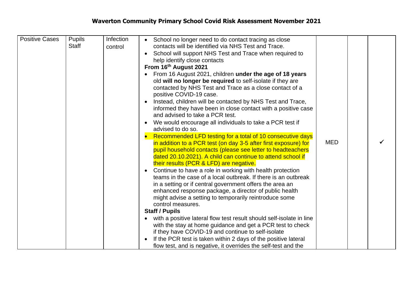| <b>Positive Cases</b> | <b>Pupils</b><br><b>Staff</b> | Infection<br>control | School no longer need to do contact tracing as close<br>contacts will be identified via NHS Test and Trace.<br>School will support NHS Test and Trace when required to<br>$\bullet$<br>help identify close contacts<br>From 16th August 2021<br>From 16 August 2021, children under the age of 18 years<br>old will no longer be required to self-isolate if they are<br>contacted by NHS Test and Trace as a close contact of a<br>positive COVID-19 case.<br>Instead, children will be contacted by NHS Test and Trace,<br>$\bullet$<br>informed they have been in close contact with a positive case<br>and advised to take a PCR test.<br>We would encourage all individuals to take a PCR test if<br>$\bullet$<br>advised to do so.<br>Recommended LFD testing for a total of 10 consecutive days<br>in addition to a PCR test (on day 3-5 after first exposure) for<br>pupil household contacts (please see letter to headteachers<br>dated 20.10.2021). A child can continue to attend school if<br>their results (PCR & LFD) are negative.<br>Continue to have a role in working with health protection<br>$\bullet$<br>teams in the case of a local outbreak. If there is an outbreak<br>in a setting or if central government offers the area an<br>enhanced response package, a director of public health<br>might advise a setting to temporarily reintroduce some<br>control measures.<br><b>Staff / Pupils</b><br>with a positive lateral flow test result should self-isolate in line<br>$\bullet$ | <b>MED</b> |  |
|-----------------------|-------------------------------|----------------------|-------------------------------------------------------------------------------------------------------------------------------------------------------------------------------------------------------------------------------------------------------------------------------------------------------------------------------------------------------------------------------------------------------------------------------------------------------------------------------------------------------------------------------------------------------------------------------------------------------------------------------------------------------------------------------------------------------------------------------------------------------------------------------------------------------------------------------------------------------------------------------------------------------------------------------------------------------------------------------------------------------------------------------------------------------------------------------------------------------------------------------------------------------------------------------------------------------------------------------------------------------------------------------------------------------------------------------------------------------------------------------------------------------------------------------------------------------------------------------------------------------------------|------------|--|
|                       |                               |                      | with the stay at home guidance and get a PCR test to check<br>if they have COVID-19 and continue to self-isolate<br>If the PCR test is taken within 2 days of the positive lateral<br>$\bullet$<br>flow test, and is negative, it overrides the self-test and the                                                                                                                                                                                                                                                                                                                                                                                                                                                                                                                                                                                                                                                                                                                                                                                                                                                                                                                                                                                                                                                                                                                                                                                                                                                 |            |  |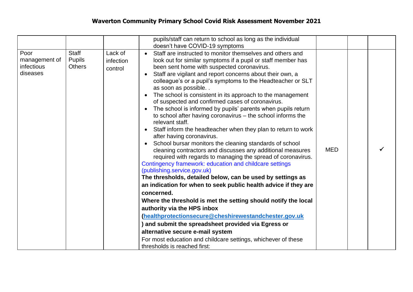|                                                 |                                         |                                 | pupils/staff can return to school as long as the individual<br>doesn't have COVID-19 symptoms                                                                                                                                                                                                                                                                                                                                                                                                                                                                                                                                                                                                                                                                                                                                                                                                                                                                                                                                                                                                                                                                                                                                                                                                                                                                                                                                                                                                                                                         |            |  |
|-------------------------------------------------|-----------------------------------------|---------------------------------|-------------------------------------------------------------------------------------------------------------------------------------------------------------------------------------------------------------------------------------------------------------------------------------------------------------------------------------------------------------------------------------------------------------------------------------------------------------------------------------------------------------------------------------------------------------------------------------------------------------------------------------------------------------------------------------------------------------------------------------------------------------------------------------------------------------------------------------------------------------------------------------------------------------------------------------------------------------------------------------------------------------------------------------------------------------------------------------------------------------------------------------------------------------------------------------------------------------------------------------------------------------------------------------------------------------------------------------------------------------------------------------------------------------------------------------------------------------------------------------------------------------------------------------------------------|------------|--|
| Poor<br>management of<br>infectious<br>diseases | Staff<br><b>Pupils</b><br><b>Others</b> | Lack of<br>infection<br>control | Staff are instructed to monitor themselves and others and<br>$\bullet$<br>look out for similar symptoms if a pupil or staff member has<br>been sent home with suspected coronavirus.<br>Staff are vigilant and report concerns about their own, a<br>colleague's or a pupil's symptoms to the Headteacher or SLT<br>as soon as possible<br>The school is consistent in its approach to the management<br>$\bullet$<br>of suspected and confirmed cases of coronavirus.<br>The school is informed by pupils' parents when pupils return<br>$\bullet$<br>to school after having coronavirus - the school informs the<br>relevant staff.<br>Staff inform the headteacher when they plan to return to work<br>$\bullet$<br>after having coronavirus.<br>School bursar monitors the cleaning standards of school<br>$\bullet$<br>cleaning contractors and discusses any additional measures<br>required with regards to managing the spread of coronavirus.<br>Contingency framework: education and childcare settings<br>(publishing.service.gov.uk)<br>The thresholds, detailed below, can be used by settings as<br>an indication for when to seek public health advice if they are<br>concerned.<br>Where the threshold is met the setting should notify the local<br>authority via the HPS inbox<br>(healthprotectionsecure@cheshirewestandchester.gov.uk<br>) and submit the spreadsheet provided via Egress or<br>alternative secure e-mail system<br>For most education and childcare settings, whichever of these<br>thresholds is reached first: | <b>MED</b> |  |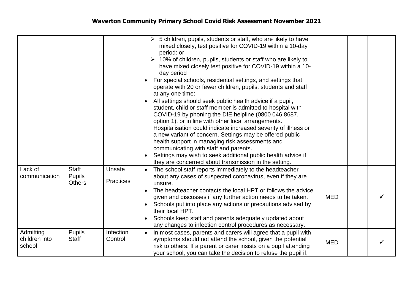|                                      |                                         |                            | $\triangleright$ 5 children, pupils, students or staff, who are likely to have<br>mixed closely, test positive for COVID-19 within a 10-day<br>period: or<br>$\triangleright$ 10% of children, pupils, students or staff who are likely to<br>have mixed closely test positive for COVID-19 within a 10-<br>day period<br>For special schools, residential settings, and settings that<br>$\bullet$<br>operate with 20 or fewer children, pupils, students and staff<br>at any one time:<br>All settings should seek public health advice if a pupil,<br>$\bullet$<br>student, child or staff member is admitted to hospital with<br>COVID-19 by phoning the DfE helpline (0800 046 8687,<br>option 1), or in line with other local arrangements.<br>Hospitalisation could indicate increased severity of illness or<br>a new variant of concern. Settings may be offered public<br>health support in managing risk assessments and<br>communicating with staff and parents.<br>Settings may wish to seek additional public health advice if<br>they are concerned about transmission in the setting. |            |  |
|--------------------------------------|-----------------------------------------|----------------------------|-------------------------------------------------------------------------------------------------------------------------------------------------------------------------------------------------------------------------------------------------------------------------------------------------------------------------------------------------------------------------------------------------------------------------------------------------------------------------------------------------------------------------------------------------------------------------------------------------------------------------------------------------------------------------------------------------------------------------------------------------------------------------------------------------------------------------------------------------------------------------------------------------------------------------------------------------------------------------------------------------------------------------------------------------------------------------------------------------------|------------|--|
| Lack of<br>communication             | Staff<br><b>Pupils</b><br><b>Others</b> | Unsafe<br><b>Practices</b> | The school staff reports immediately to the headteacher<br>about any cases of suspected coronavirus, even if they are<br>unsure.<br>The headteacher contacts the local HPT or follows the advice<br>$\bullet$<br>given and discusses if any further action needs to be taken.<br>Schools put into place any actions or precautions advised by<br>$\bullet$<br>their local HPT.<br>Schools keep staff and parents adequately updated about<br>$\bullet$<br>any changes to infection control procedures as necessary.                                                                                                                                                                                                                                                                                                                                                                                                                                                                                                                                                                                   | <b>MED</b> |  |
| Admitting<br>children into<br>school | <b>Pupils</b><br>Staff                  | Infection<br>Control       | In most cases, parents and carers will agree that a pupil with<br>symptoms should not attend the school, given the potential<br>risk to others. If a parent or carer insists on a pupil attending<br>your school, you can take the decision to refuse the pupil if,                                                                                                                                                                                                                                                                                                                                                                                                                                                                                                                                                                                                                                                                                                                                                                                                                                   | <b>MED</b> |  |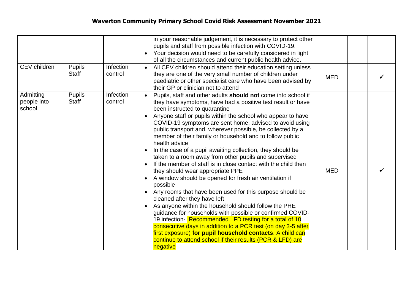| CEV children                       | <b>Pupils</b>                 | Infection            | in your reasonable judgement, it is necessary to protect other<br>pupils and staff from possible infection with COVID-19.<br>Your decision would need to be carefully considered in light<br>of all the circumstances and current public health advice.<br>All CEV children should attend their education setting unless                                                                                                                                                                                                                                                                                                                                                                                                                                                                                                                                                                                                                                                                                                                                                                                                                                                                                                |            |  |
|------------------------------------|-------------------------------|----------------------|-------------------------------------------------------------------------------------------------------------------------------------------------------------------------------------------------------------------------------------------------------------------------------------------------------------------------------------------------------------------------------------------------------------------------------------------------------------------------------------------------------------------------------------------------------------------------------------------------------------------------------------------------------------------------------------------------------------------------------------------------------------------------------------------------------------------------------------------------------------------------------------------------------------------------------------------------------------------------------------------------------------------------------------------------------------------------------------------------------------------------------------------------------------------------------------------------------------------------|------------|--|
|                                    | <b>Staff</b>                  | control              | they are one of the very small number of children under<br>paediatric or other specialist care who have been advised by<br>their GP or clinician not to attend                                                                                                                                                                                                                                                                                                                                                                                                                                                                                                                                                                                                                                                                                                                                                                                                                                                                                                                                                                                                                                                          | <b>MED</b> |  |
| Admitting<br>people into<br>school | <b>Pupils</b><br><b>Staff</b> | Infection<br>control | Pupils, staff and other adults should not come into school if<br>they have symptoms, have had a positive test result or have<br>been instructed to quarantine<br>Anyone staff or pupils within the school who appear to have<br>COVID-19 symptoms are sent home, advised to avoid using<br>public transport and, wherever possible, be collected by a<br>member of their family or household and to follow public<br>health advice<br>In the case of a pupil awaiting collection, they should be<br>taken to a room away from other pupils and supervised<br>If the member of staff is in close contact with the child then<br>they should wear appropriate PPE<br>A window should be opened for fresh air ventilation if<br>possible<br>Any rooms that have been used for this purpose should be<br>cleaned after they have left<br>As anyone within the household should follow the PHE<br>guidance for households with possible or confirmed COVID-<br>19 infection-Recommended LFD testing for a total of 10<br>consecutive days in addition to a PCR test (on day 3-5 after<br>first exposure) for pupil household contacts. A child can<br>continue to attend school if their results (PCR & LFD) are<br>negative | <b>MED</b> |  |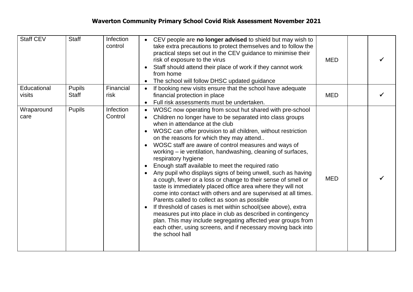| Staff CEV             | <b>Staff</b>           | Infection<br>control | CEV people are no longer advised to shield but may wish to<br>take extra precautions to protect themselves and to follow the<br>practical steps set out in the CEV guidance to minimise their<br>risk of exposure to the virus<br>Staff should attend their place of work if they cannot work<br>from home<br>The school will follow DHSC updated guidance<br>$\bullet$                                                                                                                                                                                                                                                                                                                                                                                                                                                                                                                                                                                                                                                                                                                                                                        | <b>MED</b> |  |
|-----------------------|------------------------|----------------------|------------------------------------------------------------------------------------------------------------------------------------------------------------------------------------------------------------------------------------------------------------------------------------------------------------------------------------------------------------------------------------------------------------------------------------------------------------------------------------------------------------------------------------------------------------------------------------------------------------------------------------------------------------------------------------------------------------------------------------------------------------------------------------------------------------------------------------------------------------------------------------------------------------------------------------------------------------------------------------------------------------------------------------------------------------------------------------------------------------------------------------------------|------------|--|
| Educational<br>visits | <b>Pupils</b><br>Staff | Financial<br>risk    | If booking new visits ensure that the school have adequate<br>$\bullet$<br>financial protection in place<br>Full risk assessments must be undertaken.<br>$\bullet$                                                                                                                                                                                                                                                                                                                                                                                                                                                                                                                                                                                                                                                                                                                                                                                                                                                                                                                                                                             | <b>MED</b> |  |
| Wraparound<br>care    | <b>Pupils</b>          | Infection<br>Control | WOSC now operating from scout hut shared with pre-school<br>$\bullet$<br>Children no longer have to be separated into class groups<br>when in attendance at the club<br>WOSC can offer provision to all children, without restriction<br>$\bullet$<br>on the reasons for which they may attend<br>WOSC staff are aware of control measures and ways of<br>$\bullet$<br>working – ie ventilation, handwashing, cleaning of surfaces,<br>respiratory hygiene<br>Enough staff available to meet the required ratio<br>$\bullet$<br>Any pupil who displays signs of being unwell, such as having<br>a cough, fever or a loss or change to their sense of smell or<br>taste is immediately placed office area where they will not<br>come into contact with others and are supervised at all times.<br>Parents called to collect as soon as possible<br>If threshold of cases is met within school(see above), extra<br>$\bullet$<br>measures put into place in club as described in contingency<br>plan. This may include segregating affected year groups from<br>each other, using screens, and if necessary moving back into<br>the school hall | <b>MED</b> |  |